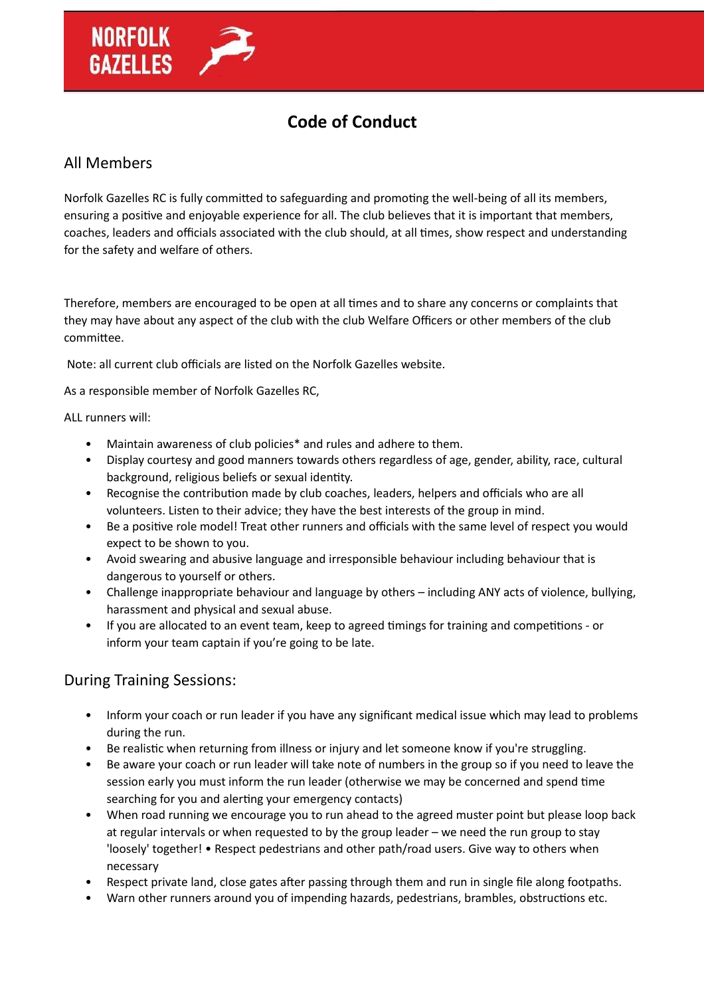

## **Code of Conduct**

## All Members

Norfolk Gazelles RC is fully committed to safeguarding and promoting the well-being of all its members, ensuring a positive and enjoyable experience for all. The club believes that it is important that members, coaches, leaders and officials associated with the club should, at all times, show respect and understanding for the safety and welfare of others.

Therefore, members are encouraged to be open at all times and to share any concerns or complaints that they may have about any aspect of the club with the club Welfare Officers or other members of the club committee.

Note: all current club officials are listed on the Norfolk Gazelles website.

As a responsible member of Norfolk Gazelles RC,

## ALL runners will:

- Maintain awareness of club policies\* and rules and adhere to them.
- Display courtesy and good manners towards others regardless of age, gender, ability, race, cultural background, religious beliefs or sexual identity.
- Recognise the contribution made by club coaches, leaders, helpers and officials who are all volunteers. Listen to their advice; they have the best interests of the group in mind.
- Be a positive role model! Treat other runners and officials with the same level of respect you would expect to be shown to you.
- Avoid swearing and abusive language and irresponsible behaviour including behaviour that is dangerous to yourself or others.
- Challenge inappropriate behaviour and language by others including ANY acts of violence, bullying, harassment and physical and sexual abuse.
- If you are allocated to an event team, keep to agreed timings for training and competitions or inform your team captain if you're going to be late.

## During Training Sessions:

- Inform your coach or run leader if you have any significant medical issue which may lead to problems during the run.
- Be realistic when returning from illness or injury and let someone know if you're struggling.
- Be aware your coach or run leader will take note of numbers in the group so if you need to leave the session early you must inform the run leader (otherwise we may be concerned and spend time searching for you and alerting your emergency contacts)
- When road running we encourage you to run ahead to the agreed muster point but please loop back at regular intervals or when requested to by the group leader – we need the run group to stay 'loosely' together! • Respect pedestrians and other path/road users. Give way to others when necessary
- Respect private land, close gates after passing through them and run in single file along footpaths.
- Warn other runners around you of impending hazards, pedestrians, brambles, obstructions etc.